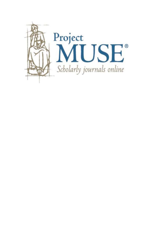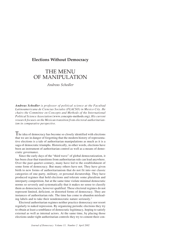## **Elections Without Democracy**

# THE MENU OF MANIPULATION

*Andreas Schedler*

*Andreas Schedler is professor of political science at the Facultad Latinoamericana de Ciencias Sociales (FLACSO) in Mexico City. He chairs the Committee on Concepts and Methods of the International Political Science Association* (www.concepts-methods.org). *His current research focuses on the Mexican transition from electoral authoritarianism in comparative perspective.*

 $T<sub>he</sub>$  idea of democracy has become so closely identified with elections that we are in danger of forgetting that the modern history of representative elections is a tale of authoritarian manipulations as much as it is a saga of democratic triumphs. Historically, in other words, elections have been an instrument of authoritarian control as well as a means of democratic governance.

Since the early days of the "third wave" of global democratization, it has been clear that transitions from authoritarian rule can lead anywhere. Over the past quarter-century, many have led to the establishment of some form of democracy. But many others have not. They have given birth to new forms of authoritarianism that do not fit into our classic categories of one-party, military, or personal dictatorship. They have produced regimes that hold elections and tolerate some pluralism and interparty competition, but at the same time violate minimal democratic norms so severely and systematically that it makes no sense to classify them as democracies, however qualified. These electoral regimes do not represent limited, deficient, or distorted forms of democracy. They are instances of authoritarian rule. The time has come to abandon misleading labels and to take their nondemocratic nature seriously. 1

Electoral authoritarian regimes neither practice democracy nor resort regularly to naked repression. By organizing periodic elections they try to obtain at least a semblance of democratic legitimacy, hoping to satisfy external as well as internal actors. At the same time, by placing those elections under tight authoritarian controls they try to cement their con-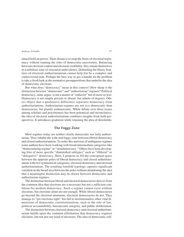tinued hold on power. Their dream is to reap the fruits of electoral legitimacy without running the risks of democratic uncertainty. Balancing between electoral control and electoral credibility, they situate themselves in a nebulous zone of structural ambivalence. Delimiting the blurry frontiers of electoral authoritarianism cannot help but be a complex and controversial task. Perhaps the best way to get a handle on the problem is take a fresh look at the normative presuppositions that underlie the idea of democratic elections.

But what does "democracy" mean in this context? How sharp is the distinction between "democratic" and "authoritarian" regimes? Political democracy, some argue, is not a matter of "either/or" but of more or less: Democracy is not simply present or absent, but admits of degrees. Others object that a qualitative difference separates democracy from authoritarianism. Authoritarian regimes are not *less* democratic than democracies, but plainly *un*democratic. While debate over these issues among scholars and practitioners has been polemical and inconclusive, the idea of electoral authoritarianism combines insights from both perspectives. It introduces gradation while retaining the idea of thresholds.

## **The Foggy Zone**

Most regimes today are neither clearly democratic nor fully authoritarian. They inhabit the wide and foggy zone between liberal democracy and closed authoritarianism. To order this universe of ambiguous regimes some authors have been working with broad intermediate categories like "democratizing regime" or "semidemocracy." Others have been developing lists of more specific "diminished subtypes" such as "illiberal" or "delegative" democracy. Here, I propose to fill the conceptual space between the opposite poles of liberal democracy and closed authoritarianism with two symmetrical categories: electoral democracy and electoral authoritarianism. The resulting fourfold typology captures significant variation in the broad area between the poles without abandoning the idea that a meaningful distinction may be drawn between democratic and authoritarian regimes.

The distinction between liberal and electoral democracies derives from the common idea that elections are a necessary but not a sufficient condition for modern democracy. Such a regime cannot exist without elections, but elections alone are not enough. While liberal democracies go beyond the electoral minimum, electoral democracies do not. They manage to "get elections right" but fail to institutionalize other vital dimensions of democratic constitutionalism, such as the rule of law, political accountability, bureaucratic integrity, and public deliberation.

The distinction between electoral democracy and electoral authoritarianism builds upon the common affirmation that democracy requires elections, but not just any kind of elections. The idea of democratic self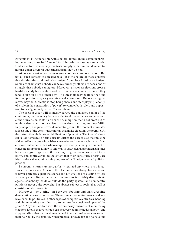government is incompatible with electoral farces. In the common phrasing, elections must be "free and fair" in order to pass as democratic. Under electoral democracy, contests comply with minimal democratic norms; under electoral authoritarianism, they do not.

At present, most authoritarian regimes hold some sort of elections. But not all such contests are created equal. It is the nature of these contests that divides electoral authoritarianism from closed authoritarianism. Some are shams that nobody can take seriously; others are occasions of struggle that nobody can ignore. Moreover, as soon as elections cross a hard-to-specify but real threshold of openness and competitiveness, they tend to take on a life of their own. The threshold may be ill defined and its exact position may vary over time and across cases. But once a regime moves beyond it, elections stop being shams and start playing "enough of a role in the constitution of power" to compel both rulers and opposition forces "genuinely to care" about them. 2

The present essay will primarily survey the contested center of the continuum, the boundary between electoral democracies and electoral authoritarianism. It starts from the assumption that a coherent set of minimal democratic norms exists that any democratic regime must fulfill. In principle, a regime leaves democratic ground the moment it violates at least one of the constitutive norms that make elections democratic. At the outset, though, let us avoid illusions of precision. The idea of a logical set of democratic norms circumscribes the core issues that must be addressed by anyone who wishes to set electoral democracies apart from electoral autocracies. But where empirical reality is fuzzy, no amount of conceptual sophistication will allow us to draw clear and consensual lines between regime types. On the contrary, regime boundaries tend to be blurry and controversial to the extent that their constitutive norms are idealizations that admit varying degrees of realization in actual political practice.

Democratic norms are not *perfectly* realized anywhere, even in advanced democracies. Access to the electoral arena always has a cost and is never perfectly equal; the scopes and jurisdictions of elective offices are everywhere limited; electoral institutions invariably discriminate against somebody inside or outside the party system; and democratic politics is never quite sovereign but always subject to societal as well as constitutional constraints.

Moreover, the distinction between obeying and transgressing democratic norms is imprecise. There is much room for nuance and ambivalence. In politics as in other types of competitive activities, bending and circumventing the rules may sometimes be considered "part of the game." Anyone familiar with the often-messy business of monitoring elections knows that vote fraud can be a very complicated, shadowy, and slippery affair that causes domestic and international observers to pull their hair out by the handful. Much practical knowledge and painstaking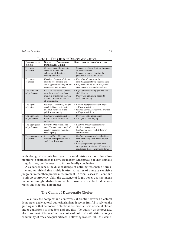|                | <b>NORMATIVE PREMISES OF</b><br><b>DIMENSIONS OF</b> |                                                                                                                                                  | The Chan of Bemockanic Choice<br><b>STRATEGIES OF NORM VIOLATION</b>                                                                                                                                                 |  |  |
|----------------|------------------------------------------------------|--------------------------------------------------------------------------------------------------------------------------------------------------|----------------------------------------------------------------------------------------------------------------------------------------------------------------------------------------------------------------------|--|--|
|                | <b>CHOICE</b>                                        | <b>DEMOCRATIC CHOICE</b>                                                                                                                         |                                                                                                                                                                                                                      |  |  |
| $\mathbf{1}$   | The object<br>of choice                              | Empowerment: Democratic<br>elections involve the<br>delegation of decision-<br>making authority.                                                 | • Reserved positions: limiting the scope<br>of elective offices<br>· Reserved domains: limiting the<br>jurisdiction of elective offices                                                                              |  |  |
| $\overline{2}$ | The range<br>of choice                               | Freedom of supply: Citizens<br>must be free to form, join,<br>and support conflicting parties,<br>candidates, and policies.                      | • Exclusion of opposition forces:<br>restricting access to the electoral arena<br>• Fragmentation of opposition forces:<br>disorganizing electoral dissidence                                                        |  |  |
| 3              | The formation<br>of preferences                      | Freedom of demand: Citizens<br>must be able to learn about<br>available alternatives through<br>access to alternative sources<br>of information. | • Repression: restricting political and<br>civil liberties<br>• Unfairness: restricting access to<br>media and money                                                                                                 |  |  |
| $\overline{4}$ | The agents<br>of choice                              | <i>Inclusion:</i> Democracy assigns<br>equal rights of participation<br>to all full members of the<br>political community.                       | • Formal disenfranchisement: legal<br>suffrage restrictions<br>• Informal disenfranchisement: practical<br>suffrage restrictions                                                                                     |  |  |
| 5              | The expression<br>of preferences                     | <i>Insulation:</i> Citizens must be<br>free to express their electoral<br>preferences.                                                           | • Coercion: voter intimidation<br>• <i>Corruption</i> : vote buying                                                                                                                                                  |  |  |
| 6              | The aggregation<br>of preferences                    | <i>Integrity:</i> One person, one<br>vote. The democratic ideal of<br>equality demands weighting<br>votes equally.                               | · Electoral fraud: "redistributive"<br>election management<br>• Institutional bias: "redistributive"<br>electoral rules                                                                                              |  |  |
| $\overline{7}$ | The consequences<br>of choice                        | Irreversibility: Elections<br>without consequences do not<br>qualify as democratic.                                                              | • Tutelage: preventing elected officers<br>from exercising their constitutional<br>powers<br>• Reversal: preventing victors from<br>taking office, or elected officers from<br>concluding their constitutional terms |  |  |

### **TABLE 1—THE CHAIN OF DEMOCRATIC CHOICE**

methodological analysis have gone toward devising methods that allow monitors to distinguish massive fraud from widespread but unsystematic irregularities, but the results so far are hardly conclusive.

As a consequence, the dual challenge of defining reasonable normative and empirical thresholds is often a matter of context-sensitive judgment rather than precise measurement. Difficult cases will continue to stir up controversy. Still, the existence of foggy zones does not mean that no meaningful distinctions can be drawn between electoral democracies and electoral autocracies.

## **The Chain of Democratic Choice**

To survey the complex and controversial frontier between electoral democracy and electoral authoritarianism, it seems fruitful to rely on the guiding idea that democratic elections are mechanisms of social choice under conditions of freedom and equality. To qualify as democratic, elections must offer an effective choice of political authorities among a community of free and equal citizens. Following Robert Dahl, this demo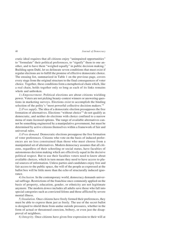cratic ideal requires that all citizens enjoy "unimpaired opportunities" to "formulate" their political preferences, to "signify" them to one another, and to have them "weighed equally" in public decision making. 3 Building upon Dahl, let us delineate seven conditions that must exist if regular elections are to fulfill the promise of effective democratic choice. The ensuing list, summarized in Table 1 on the previous page, covers every stage from the original structure to the final consequences of voter choice. Together, these conditions form a metaphorical chain which, like a real chain, holds together only so long as each of its links remains whole and unbroken.

*1) Empowerment.* Political elections are about citizens wielding power. Voters are not picking beauty-contest winners or answering questions in marketing surveys. Elections exist to accomplish the binding selection of the polity's "most powerful collective decision makers."4

*2) Free supply.* The idea of a democratic election presupposes the free formation of alternatives. Elections "without choice"5 do not qualify as democratic, and neither do elections with choice confined to a narrow menu of state-licensed options. The range of available alternatives cannot be something engineered by a manipulative government, but must be determined by active citizens themselves within a framework of fair and universal rules.

*3) Free demand.* Democratic elections presuppose the free formation of voter preferences. Citizens who vote on the basis of induced preferences are no less constrained than those who must choose from a manipulated set of alternatives. Modern democracy assumes that all citizens, regardless of their schooling or social status, have faculties of autonomous decision making which are effectively equal in the decisive political respect. But to use their faculties voters need to know about available choices, which in turn means they need to have access to plural sources of information. Unless parties and candidates enjoy free and fair access to the public space, the will of the people as expressed at the ballot box will be little more than the echo of structurally induced ignorance.

*4) Inclusion.* In the contemporary world, democracy demands universal suffrage. Restrictions of the franchise once commonly applied on the basis of property, education, gender, or ethnicity are not legitimate anymore. The modern *demos* includes all adults save those who fall into special categories such as convicted felons and those afflicted by severe mental illness.

*5) Insulation.* Once citizens have freely formed their preferences, they must be able to express them just as freely. The use of the secret ballot is designed to shield them from undue outside pressures, whether in the form of actual or threatened coercion, bribery, or even just the disapproval of neighbors.

*6) Integrity.* Once citizens have given free expression to their will at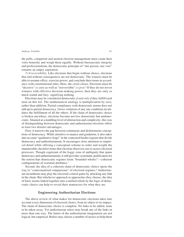the polls, competent and neutral election management must count their votes honestly and weigh them equally. Without bureaucratic integrity and professionalism, the democratic principle of "one person, one vote" remains an empty aspiration.

*7) Irreversibility.* Like elections that begin without choice, elections that end without consequences are not democratic. The winners must be able to assume office, exercise power, and conclude their terms in accordance with constitutional rules. Here, the circle closes. Elections must be "decisive" *ex ante* as well as "irreversible" *ex post.* <sup>6</sup> If they do not invest winners with effective decision-making power, then they are only so much sound and fury, signifying nothing.

Elections may be considered democratic *if and only if* they fulfill each item on this list. The mathematical analogy is multiplication by zero, rather than addition. Partial compliance with democratic norms does not add up to partial democracy. Gross violation of any one condition invalidates the fulfillment of all the others. If the chain of democratic choice is broken anywhere, elections become not less democratic but undemocratic. Situated at a middling level of abstraction and complexity, this way of distinguishing between democratic and authoritarian elections offers at least two distinct advantages.

First, it narrows the gap between continuous and dichotomous conceptions of democracy. While attentive to nuance and gradation, it also takes into account "qualitative leaps" in the contested border regions that divide democracy and authoritarianism. It encourages close attention to empirical detail while offering a conceptual scheme to order and weight the innumerable checklist items that election observers use to assess electoral processes. Though cognizant of the foggy zone of ambiguity that spans democracy and authoritarianism, it still provides systematic justification for the notion that democratic regimes form "bounded wholes"—coherent configurations of essential attributes. 7

Second, the idea of a coherent chain of democratic choice opens the way to "contextualized comparisons" of electoral regimes.<sup>8</sup> Authoritarian incumbents may play the electoral-control game by attacking any link in the chain. But whichever approach or approaches they choose, the idea of basic norms linked together into a unified whole by the logic of democratic choice can help to reveal their maneuvers for what they are.

## **Engineering Authoritarian Elections**

The above review of what makes for democratic elections takes into account every dimension of electoral choice, from its object to its impact. The chain of democratic choice is complete. No links to be added, none to be taken away. Yet authoritarian rulers may break any of the links in more than one way. The limits of the authoritarian imagination are not logical, but empirical. Rulers may choose a number of tactics to help them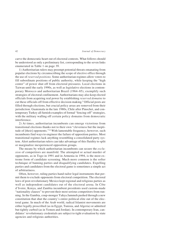carve the democratic heart out of electoral contests. What follows should be understood as only a preliminary list, corresponding to the seven links enumerated in Table 1 on page 39.

1) Authoritarian rulers may preempt potential threats emanating from popular elections by circumscribing the scope of elective office through the use of *reserved positions.* Some authoritarian regimes allow voters to fill subordinate positions of public authority, while keeping the "high center" of power shut off from electoral pressures. Local elections in Taiwan until the early 1990s, as well as legislative elections in contemporary Morocco and authoritarian Brazil (1964–85), exemplify such strategies of electoral confinement. Authoritarians may also keep elected officials from acquiring real power by establishing *reserved domains* to cut these officials off from effective decision making. <sup>9</sup> Official posts are filled through elections, but crucial policy areas are removed from their jurisdiction. Guatemala in the late 1980s, Chile after Pinochet, and contemporary Turkey all furnish examples of formal "fencing-off" strategies, with the military walling off certain policy domains from democratic interference.

2) At times, authoritarian incumbents can emerge victorious from transitional elections thanks not to their own "cleverness but the ineptitude of [their] opponents."10 With lamentable frequency, however, such incumbents find ways to engineer the failure of opposition parties. Most transitional regimes lack anything resembling a consolidated party system. Alert authoritarian rulers can take advantage of this fluidity to split or marginalize inexperienced opposition groups.

The means by which authoritarian incumbents can secure the *exclusion* of competitors are manifold. The attempted or actual murder of opponents, as in Togo in 1991 and in Armenia in 1994, is the most extreme form of candidate screening. Much more common is the softer technique of banning parties and disqualifying candidates. Expelling parties and candidates from the electoral game is sometimes a simple act of arbitrariness.

Often, however, ruling parties hand-tailor legal instruments that permit them to exclude opponents from electoral competition. The electoral laws of post-revolutionary Mexico kept regional and religious parties as well as independent candidates out of the electoral arena. In Côte d'Ivoire, Kenya, and Zambia incumbent presidents used custom-made "nationality clauses" to prevent their most serious competitors from running. In the Gambia, coup-monger Yahya Jammeh pushed through a new constitution that shut the country's entire political elite out of the electoral game. In much of the Arab world, radical Islamist movements are either legally proscribed (as in Egypt, Tunisia, and Algeria) or admitted but tightly curbed (as in Yemen and Jordan). In contemporary Iran, candidates' revolutionary credentials are subject to tight evaluation by state agencies and religious authorities.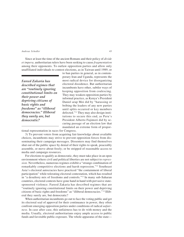Since at least the time of the ancient Romans and their policy of *divide et impera,* authoritarian rulers have been seeking to cause *fragmentation* among their opponents. To outlaw opposition parties and allow only unaffiliated individuals to contest elections, as in Taiwan until 1989, or

*Fareed Zakaria has described regimes that are "routinely ignoring constitutional limits on their power and depriving citizens of basic rights and freedoms" as "illiberal democracies." Illiberal they surely are, but democratic?*

to ban parties in general, as in contemporary Iran and Uganda, represents the most radical device for disorganizing electoral dissidence. But authoritarian incumbents have other, subtler ways of keeping opposition from coalescing. They may weaken opposition parties by informal practice, as Kenya's President Daniel arap Moi did by "harassing or bribing the leaders of any new parties until splits occurred or key members defected."11 They may also design institutions to secure this end, as Peru's President Alberto Fujimori did by securing passage of an election law that mandated an extreme form of propor-

tional representation in races for Congress.

3) To prevent voters from acquiring fair knowledge about available choices, incumbents may strive to prevent opposition forces from disseminating their campaign messages. Dissenters may find themselves shut out of the public space by denial of their rights to speak, peaceably assemble, or move about freely; or be stripped of reasonable access to media and campaign resources.

For elections to qualify as democratic, they must take place in an open environment where civil and political liberties are not subject to *repression.* Nevertheless, numerous regimes exhibit a "strange combination of remarkably competitive elections and harsh repression."12 Southeast Asia's electoral autocracies have practiced "the containment of liberal participation" while tolerating electoral contestation, which has resulted in "a desultory mix of freedoms and controls."13 In many sub-Saharan countries, electoral contests have gone hand in hand with pervasive statesponsored violence. Fareed Zakaria has described regimes that are "routinely ignoring constitutional limits on their power and depriving citizens of basic rights and freedoms" as "illiberal democracies." <sup>14</sup> Illiberal they surely are, but democratic?

When authoritarian incumbents go out to face the voting public and get its electoral seal of approval for their continuance in power, they often confront emerging opposition parties under conditions of radical *unfairness.* In case after case, this unfairness has to do with money and the media. Usually, electoral authoritarians enjoy ample access to public funds and favorable public exposure. The whole apparatus of the state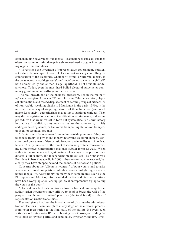often including government-run media—is at their beck and call, and they often can harass or intimidate privately owned media organs into ignoring opposition candidates.

4) Ever since the invention of representative government, political actors have been tempted to control electoral outcomes by controlling the composition of the electorate, whether by formal or informal means. In the contemporary world, *formal disenfranchisement* is a very tough "sell" both domestically and abroad. Legal apartheid is not a viable model anymore. Today, even the most hard-boiled electoral autocracies commonly grant universal suffrage to their citizens.

The real growth end of the business, therefore, lies in the realm of *informal disenfranchisement.* "Ethnic cleansing," the persecution, physical elimination, and forced displacement of certain groups of citizens, as of non-Arabic-speaking blacks in Mauritania in the early 1990s, is the most atrocious way of stripping citizens of their franchise (and much more). Less uncivil authoritarians may resort to subtler techniques. They may devise registration methods, identification requirements, and voting procedures that are universal in form but systematically discriminatory in practice. In addition, they may manipulate the voter rolls, illicitly adding or deleting names, or bar voters from polling stations on trumpedup legal or technical grounds.

5) Voters must be *insulated* from undue outside pressures if they are to choose freely. If power and money determine electoral choices, constitutional guarantees of democratic freedom and equality turn into dead letters. Clearly, violence or the threat of it can keep voters from exercising a free choice. (Intimidation may take subtler forms as well.) When authoritarian rulers resort to systematic violence against opposition candidates, civil society, and independent media outlets—as Zimbabwe's President Robert Mugabe did in 2000—they may or may not succeed, but clearly they have stepped beyond the bounds of democratic politics.

Concerns about the "clientelist control" of poor voters tend to arise whenever electoral competition unfolds in contexts of glaring socioeconomic inequality. Accordingly, in many new democracies, such as the Philippines and Mexico, reform-minded parties and civic associations have been worrying about corrupt political entrepreneurs trying to buy the votes of the poor. 15

6) Even if pre-electoral conditions allow for free and fair competition, authoritarian incumbents may still try to bend or break the will of the people through "redistributive" practices (electoral fraud) or rules of representation (institutional bias).

Electoral *fraud* involves the introduction of bias into the administration of elections. It can take place at any stage of the electoral process, from voter registration to the final tally of the ballots. It covers such activities as forging voter ID cards, burning ballot boxes, or padding the vote totals of favored parties and candidates. Invariably, though, it vio-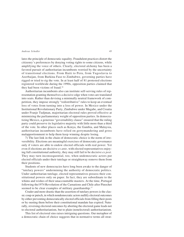lates the principle of democratic equality. Fraudulent practices distort the citizenry's preferences by denying voting rights to some citizens, while amplifying the voice of others. Clearly, electoral alchemy has been a favored pursuit of authoritarian incumbents worried by the uncertainty of transitional elections. From Haiti to Peru, from Yugoslavia to Azerbaijan, from Burkina Faso to Zimbabwe, governing parties have rigged or tried to rig the vote. In at least half of 81 protested elections registered worldwide during the 1990s, opposition parties claimed that they had been victims of fraud. 16

Authoritarian incumbents also can institute self-serving rules of representation granting themselves a decisive edge when votes are translated into seats. Rather than devising a minimally neutral framework of competition, they impose strongly "redistributive" rules to keep an eventual loss of votes from turning into a loss of power. In Mexico under the Institutional Revolutionary Party, Zimbabwe under Mugabe, and Croatia under Franjo Tudjman, majoritarian electoral rules proved effective at minimizing the parliamentary weight of opposition parties. In democratizing Mexico, a generous "governability clause" ensured that the ruling party could preserve its legislative majority with little more than a third of the vote. In other places such as Kenya, the Gambia, and Malaysia, authoritarian incumbents have relied on gerrymandering and gross malapportionment to help them keep winning despite losing.

7) The last link in the chain of democratic choice is the norm of irreversibility*.* Elections are meaningful exercises of democratic governance only if voters are able to endow elected officials with real power. Yet even if elections are decisive *ex ante,* with elected representatives enjoying full constitutional authority, they may still fail to be decisive *ex post.* They may turn inconsequential, too, when undemocratic actors put elected officials under their tutelage or straightaway remove them from their positions.

Students of new democracies have long been awake to the danger of "tutelary powers" undermining the authority of democratic politics. Under authoritarian tutelage, elected representatives possess their constitutional powers only on paper. In fact, they are subordinate to the whims and wishes of their unaccountable masters. At the time, Portugal following the1974 Revolution of the Carnations and Chile after Pinochet seemed to be clear examples of military guardianship.<sup>17</sup>

Cruder and more drastic than the assertion of tutelary powers is the classic coup or putsch, in which nondemocratic actors nullify electoral outcomes by either preventing democratically elected officials from filling their posts or by ousting them before their constitutional mandate has expired. Naturally, reversing electoral outcomes by aborting the electoral game leads not to electoral authoritarianism, but to plain (nonelectoral) authoritarianism.

This list of electoral sins raises intriguing questions. Our metaphor of a democratic chain of choice suggests that in normative terms all strat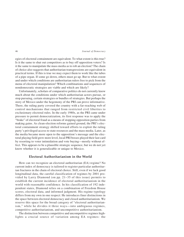egies of electoral containment are equivalent. To what extent is this true? Is it the same to shut out competitors as to buy off opposition voters? Is it the same to manipulate the mass media as to rob an election? The chain of choice also suggests that authoritarian transgressions are equivalent in practical terms. If this is true we may expect them to work like the tubes of a pipe organ. If some go down, others must go up. But to what extent and under which conditions are authoritarian rulers free to pick from the menu of electoral manipulation? Which combinations and sequences of nondemocratic strategies are viable and which are likely?

Unfortunately, scholars of comparative politics do not currently know much about the conditions under which authoritarian actors pursue, or stop pursuing, certain strategies or bundles of strategies. But perhaps the story of Mexico under the hegemony of the PRI can prove informative. There, the ruling party covered the country with a far-reaching web of control mechanisms that ranged from restricted civil liberties to exclusionary electoral rules. In the early 1980s, as the PRI came under pressure to permit democratization, its first response was to apply the "brake" of electoral fraud as a means of stopping opposition parties from making gains. As clean-election reforms gained ground, the PRI's electoral containment strategy shifted toward efforts to exploit the ruling party's privileged access to state resources and the mass media. Later, as the media became more open to the opposition's message and the electoral playing field grew more level, local PRI bosses played their last card by resorting to voter intimidation and vote buying—mostly without effect. This appears to be a plausible strategic sequence, but we do not yet know whether it is generalizable or unique to Mexico.

## **Electoral Authoritarianism in the World**

How can we recognize an electoral authoritarian (EA) regime? No current index of democracy is tailored to register particular authoritarian fractures in the chain of electoral choice. Still, even if we lack good longitudinal data, the careful classification of regimes by 2001 provided by Larry Diamond (on pp. 21–35 of this issue) permits to establish the current incidence of electoral authoritarianism in the world with reasonable confidence. In his classification of 192 independent states, Diamond relies on a combination of Freedom House scores, electoral data, and informed judgment. His regime typology differs from my own in one respect: He introduces finer distinctions in the space between electoral democracy and closed authoritarianism. We reserve this space for the broad category of "electoral authoritarianism," while he divides it three ways—into ambiguous regimes, competitive authoritarianism, and uncompetitive authoritarianism.

The distinction between competitive and uncompetitive regimes highlights a crucial source of variation among EA regimes: the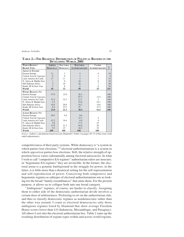| $P_{\rm H}$ , $P_{\rm H}$ and $P_{\rm H}$ , $P_{\rm H}$ and $P_{\rm H}$ = $P_{\rm H}$ |                  |                  |                         |                         |     |  |  |  |
|---------------------------------------------------------------------------------------|------------------|------------------|-------------------------|-------------------------|-----|--|--|--|
| <b>WORLD REGIONS</b> /                                                                | LIBERAL          | <b>ELECTORAL</b> | <b>ELECTORAL</b>        | <b>CLOSED</b>           |     |  |  |  |
| <b>REGIME TYPES</b>                                                                   | <b>DEMOCRACY</b> | <b>DEMOCRACY</b> | <b>AUTHORITARIANISM</b> | <b>AUTHORITARIANISM</b> | Σ   |  |  |  |
| <b>ABSOLUTE FIGURES</b>                                                               |                  |                  |                         |                         |     |  |  |  |
| Eastern Europe                                                                        | 11               | 3                | $rac{5}{7}$             | $\Omega$                | 19  |  |  |  |
| Central Asia & Caucasus                                                               | $\Omega$         | $\theta$         |                         |                         | 8   |  |  |  |
| Latin America & Carib.                                                                | 17               | 11               | 4                       |                         | 33  |  |  |  |
| N. Africa & Middle East                                                               |                  | $\Omega$         | 10                      | 8                       | 19  |  |  |  |
| Sub-Saharan Africa                                                                    | 5                | 10               | 26                      |                         | 48  |  |  |  |
| South, SE & East Asia                                                                 | $\overline{2}$   | 8                | 6                       | 8                       | 24  |  |  |  |
| World                                                                                 | 36               | 32               | 58                      | 25                      | 151 |  |  |  |
| WITHIN REGIONS (%)                                                                    |                  |                  |                         |                         |     |  |  |  |
| Eastern Europe                                                                        | 57.9             | 15.8             | 26.3                    |                         | 100 |  |  |  |
| Central Asia & Caucasus                                                               |                  |                  | 87.5                    | 12.5                    | 100 |  |  |  |
| Latin America & Carib.                                                                | 51.5             | 33.3             | 12.1                    | 3                       | 100 |  |  |  |
| N. Africa & Middle East                                                               | 5.3              |                  | 52.6                    | 42.1                    | 100 |  |  |  |
| Sub-Saharan Africa                                                                    | 10.4             | 20.8             | 54.2                    | 14.6                    | 100 |  |  |  |
| South, SE & East Asia                                                                 | 8.3              | 33.3             | 25                      | 33.3                    | 100 |  |  |  |
| World                                                                                 | 23.8             | 21.2             | 38.4                    | 16.5                    | 100 |  |  |  |
| <b>ACROSS REGIONS (%)</b>                                                             |                  |                  |                         |                         |     |  |  |  |
| Eastern Europe                                                                        | 30.5             | 9.4              | 8.6                     |                         |     |  |  |  |
| Central Asia & Caucasus                                                               |                  |                  | 12.1                    | $\overline{4}$          |     |  |  |  |
| Latin America & Carib.                                                                | 47.2             | 34.4             | 6.9                     | $\overline{4}$          |     |  |  |  |
| N. Africa & Middle East                                                               | 2.8              |                  | 17.2                    | 32                      |     |  |  |  |
| Sub-Saharan Africa                                                                    | 13.9             | 31.2             | 44.8                    | 28                      |     |  |  |  |
| South, SE & East Asia                                                                 | 5.5              | 25               | 10.3                    | 32                      |     |  |  |  |
| World                                                                                 | 100              | 100              | 100                     | 100                     |     |  |  |  |

**TABLE 2—THE REGIONAL DISTRIBUTION OF POLITICAL REGIMES IN THE DEVELOPING WORLD, 2001**

*Source:* Author's calculations based on Larry Diamond's Table 2 on pages 30–31 of this issue (with small adjustments).

competitiveness of their party systems. While democracy is "a system in which parties lose elections,"<sup>18</sup> electoral authoritarianism is a system in which *opposition* parties lose elections. Still, the relative strength of opposition forces varies substantially among electoral autocracies. In what I wish to call "competitive EA regimes" authoritarian rulers are insecure; in "hegemonic EA regimes" they are invincible. In the former, the electoral arena is a genuine battleground in the struggle for power; in the latter, it is little more than a theatrical setting for the self-representation and self-reproduction of power. Conceiving both competitive and hegemonic regimes as subtypes of electoral authoritarianism sets us looking for the broad "family resemblances" that unite them. For the present purpose, it allows us to collapse both into one broad category.

"Ambiguous" regimes, of course, are harder to classify. Assigning them to either side of the democratic-authoritarian divide involves a certain dose of arbitrariness. Preferring to err on the authoritarian side, and thus to classify democratic regimes as nondemocratic rather than the other way around, I count as electoral democracies only those ambiguous regimes listed by Diamond that show average Freedom House scores lower than 4.0 (Indonesia, Mozambique, and Paraguay). All others I sort into the electoral authoritarian box. Table 2 sums up the resulting distribution of regime types within and across world regions.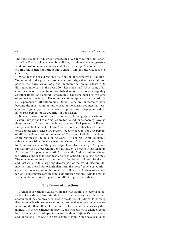The table excludes industrial democracies (Western Europe and Japan) as well as Pacific island states. In addition, it divides the heterogeneous world of postcommunist countries into Eastern Europe (19 countries, including the Baltic republics) and Central Asia and the Caucasus (8 countries).

What does the broad regional distribution of regime types look like? To begin with, the picture is somewhat less bright than one might expect as the "third wave" of global democratization rolls toward its thirtieth anniversary in the year 2004. Less than half (45 percent) of all countries outside the realm of established Western democracies qualify as either liberal or electoral democracies. The remainder host variants of authoritarianism, with EA regimes making up more than two-thirds (69.9 percent) of all autocracies. Overall, electoral autocracies have become the most common and closed authoritarian regimes the least common regime type, with the former representing 38.4 percent and the latter 16.5 percent of all countries in our basket.

Beneath broad global trends lie remarkable geographic variations. Eastern Europe and Latin America are fertile soil for democracy. Around three-quarters of the countries in each region (73.7 percent in Eastern Europe and 84.8 percent in Latin America) rate as either liberal or electoral democracies. These two regions together account for 77.8 percent of all liberal democratic regimes and 43.7 percent of all electoral democratic regimes in the developing world. By contrast, Arab countries, sub-Saharan Africa, the Caucasus, and Central Asia are homes of electoral authoritarianism. The percentage of countries hosting EA regimes runs as high as 87.5 percent in Central Asia, 54.2 percent in sub-Saharan Africa, and 52.2 percent in North Africa and the Middle East. Sub-Saharan Africa alone accounts for nearly half (44.8 percent) of all EA regimes. The most even regime distribution is to be found in South, Southeast, and East Asia. In this large and diverse part of the world, electoral democracy and closed authoritarianism form the most frequent categories, each covering one-third of the countries. Still, a sizeable share (one-quarter) of Asian countries are electoral authoritarian regimes, with the region accommodating about 10 percent of all EA regimes worldwide.

## **The Power of Elections**

Tremendous variation exists within the wide family of electoral autocracies. They show substantial differences in the strategies of electoral containment they employ as well as in the degree of political legitimacy they enjoy. Clearly, some are more repressive than others and some are more popular than others. Furthermore, electoral autocracies vary dramatically in their resilience, longevity, and trajectories of change. Some have been known to collapse in a matter of days: Fujimori's rule in Peru and Slobodan Milošević's in Serbia come to mind. Some have oscillated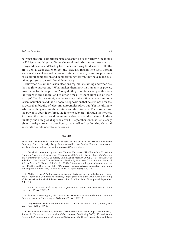between electoral authoritarianism and a more closed variety: One thinks of Pakistan and Nigeria. Other electoral authoritarian regimes such as Kenya, Malaysia, and Turkey have been surviving for decades. Still others, such as Senegal, Mexico, and Taiwan, turned into well-known success stories of gradual democratization. Driven by spiraling pressures of electoral competition and democratizing reform, they have made sustained progress toward liberal democracy.

But when are authoritarian elections regime-sustaining and when are they regime-subverting? What makes them now instruments of power, now levers for the opposition? Why do they sometimes keep authoritarian rulers in the saddle, and at other times lift them right out of their stirrups? To a large extent, it is the strategic interaction between authoritarian incumbents and the democratic opposition that determines how the structural ambiguity of electoral autocracies plays out. Yet the ultimate arbiters of the game are the military and the citizenry. The former have the power to abort it by force, the latter to subvert it through their votes. At times, the international community also may tip the balance. Unfortunately, the new global agenda after 11 September 2001, which clearly gives priority to security over liberty, may well end up favoring electoral autocrats over democratic electorates.

#### **NOTES**

The article has benefited from incisive observations by Jason M. Brownlee, Michael Coppedge, Steven Levitsky, Diego Reynoso, and Richard Snyder. Further comments are highly welcome and may be sent to *andreas@flacso.edu.mx.*

1. For similar recent diagnoses, see Thomas Carothers, "The End of the Transition Paradigm," *Journal of Democracy* 13 (January 2002): 5–21; Juan J. Linz, *Totalitarian and Authoritarian Regimes* (Boulder, Colo.: Lynne Rienner, 2000), 33–34; and Andreas Schedler, "The Nested Game of Democratization by Elections," *International Political Science Review* 23 (January 2002): 103–22. On "diminished subtypes" of democracy, see David Collier and Steven Levitsky, "Democracy with Adjectives: Conceptual Innovation in Comparative Research," *World Politics* 49 (April 1997): 430–51.

2. M. Steven Fish, "Authoritarianism Despite Elections: Russia in the Light of Democratic Theory and Comparative Practice," paper presented at the 2001 Annual Meeting of the American Political Science Association, San Francisco, 30 August–2 September 2001, 18.

3. Robert A. Dahl, *Polyarchy: Participation and Opposition* (New Haven: Yale University Press, 1971), 2.

4. Samuel P. Huntington, *The Third Wave: Democratization in the Late Twentieth Century* (Norman: University of Oklahoma Press, 1991), 7.

5. Guy Hermet, Alain Rouquié, and Juan J. Linz, *Elections Without Choice* (New York: John Wiley, 1978).

6. See also Guillermo A. O'Donnell, "Democracy, Law, and Comparative Politics," *Studies in Comparative International Development* 36 (Spring 2001): 13; and Adam Przeworski, "Democracy as a Contingent Outcome of Conflicts," in Jon Elster and Rune